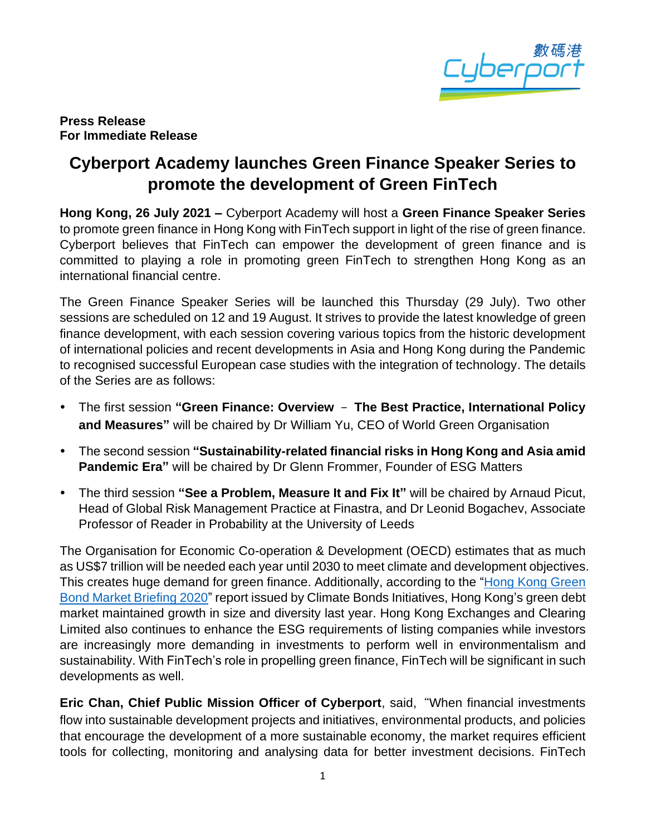

## **Press Release For Immediate Release**

## **Cyberport Academy launches Green Finance Speaker Series to promote the development of Green FinTech**

**Hong Kong, 26 July 2021 –** Cyberport Academy will host a **Green Finance Speaker Series** to promote green finance in Hong Kong with FinTech support in light of the rise of green finance. Cyberport believes that FinTech can empower the development of green finance and is committed to playing a role in promoting green FinTech to strengthen Hong Kong as an international financial centre.

The Green Finance Speaker Series will be launched this Thursday (29 July). Two other sessions are scheduled on 12 and 19 August. It strives to provide the latest knowledge of green finance development, with each session covering various topics from the historic development of international policies and recent developments in Asia and Hong Kong during the Pandemic to recognised successful European case studies with the integration of technology. The details of the Series are as follows:

- The first session **"Green Finance: Overview The Best Practice, International Policy and Measures"** will be chaired by Dr William Yu, CEO of World Green Organisation
- The second session **"Sustainability-related financial risks in Hong Kong and Asia amid Pandemic Era"** will be chaired by Dr Glenn Frommer, Founder of ESG Matters
- The third session **"See a Problem, Measure It and Fix It"** will be chaired by Arnaud Picut, Head of Global Risk Management Practice at Finastra, and Dr Leonid Bogachev, Associate Professor of Reader in Probability at the University of Leeds

The Organisation for Economic Co-operation & Development (OECD) estimates that as much as US\$7 trillion will be needed each year until 2030 to meet climate and development objectives. This creates huge demand for green finance. Additionally, according to the "Hong Kong Green" [Bond Market Briefing 2020"](https://www.climatebonds.net/files/reports/cbi_hkgb_2020_04c.pdf) report issued by Climate Bonds Initiatives, Hong Kong's green debt market maintained growth in size and diversity last year. Hong Kong Exchanges and Clearing Limited also continues to enhance the ESG requirements of listing companies while investors are increasingly more demanding in investments to perform well in environmentalism and sustainability. With FinTech's role in propelling green finance, FinTech will be significant in such developments as well.

**Eric Chan, Chief Public Mission Officer of Cyberport, said, "When financial investments** flow into sustainable development projects and initiatives, environmental products, and policies that encourage the development of a more sustainable economy, the market requires efficient tools for collecting, monitoring and analysing data for better investment decisions. FinTech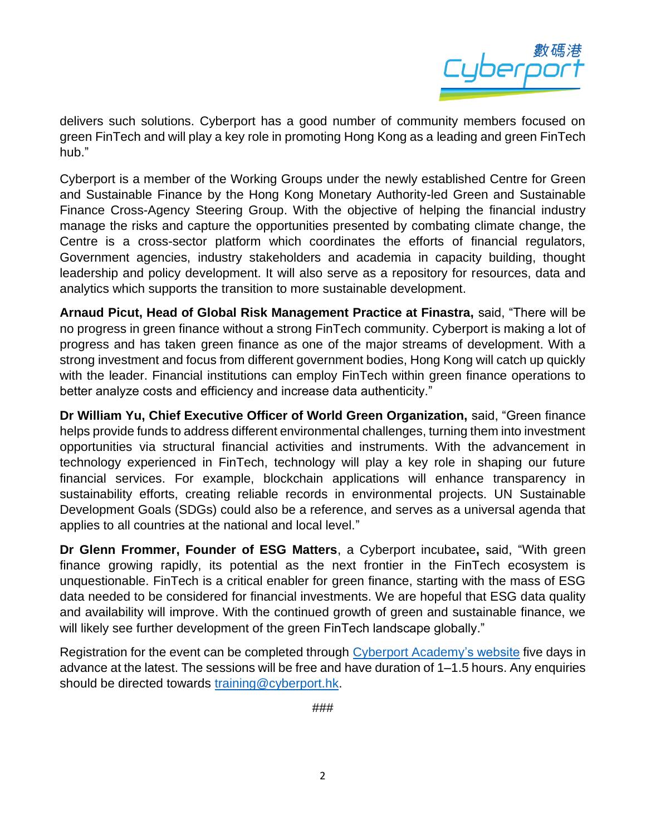

delivers such solutions. Cyberport has a good number of community members focused on green FinTech and will play a key role in promoting Hong Kong as a leading and green FinTech hub."

Cyberport is a member of the Working Groups under the newly established Centre for Green and Sustainable Finance by the Hong Kong Monetary Authority-led Green and Sustainable Finance Cross-Agency Steering Group. With the objective of helping the financial industry manage the risks and capture the opportunities presented by combating climate change, the Centre is a cross-sector platform which coordinates the efforts of financial regulators, Government agencies, industry stakeholders and academia in capacity building, thought leadership and policy development. It will also serve as a repository for resources, data and analytics which supports the transition to more sustainable development.

**Arnaud Picut, Head of Global Risk Management Practice at Finastra,** said, "There will be no progress in green finance without a strong FinTech community. Cyberport is making a lot of progress and has taken green finance as one of the major streams of development. With a strong investment and focus from different government bodies, Hong Kong will catch up quickly with the leader. Financial institutions can employ FinTech within green finance operations to better analyze costs and efficiency and increase data authenticity."

**Dr William Yu, Chief Executive Officer of World Green Organization,** said, "Green finance helps provide funds to address different environmental challenges, turning them into investment opportunities via structural financial activities and instruments. With the advancement in technology experienced in FinTech, technology will play a key role in shaping our future financial services. For example, blockchain applications will enhance transparency in sustainability efforts, creating reliable records in environmental projects. UN Sustainable Development Goals (SDGs) could also be a reference, and serves as a universal agenda that applies to all countries at the national and local level."

**Dr Glenn Frommer, Founder of ESG Matters**, a Cyberport incubatee**,** said, "With green finance growing rapidly, its potential as the next frontier in the FinTech ecosystem is unquestionable. FinTech is a critical enabler for green finance, starting with the mass of ESG data needed to be considered for financial investments. We are hopeful that ESG data quality and availability will improve. With the continued growth of green and sustainable finance, we will likely see further development of the green FinTech landscape globally."

Registration for the event can be completed through Cyberport [Academy's website](https://academy.cyberport.hk/empowerment) five days in advance at the latest. The sessions will be free and have duration of 1–1.5 hours. Any enquiries should be directed towards [training@cyberport.hk.](mailto:training@cyberport.hk)

###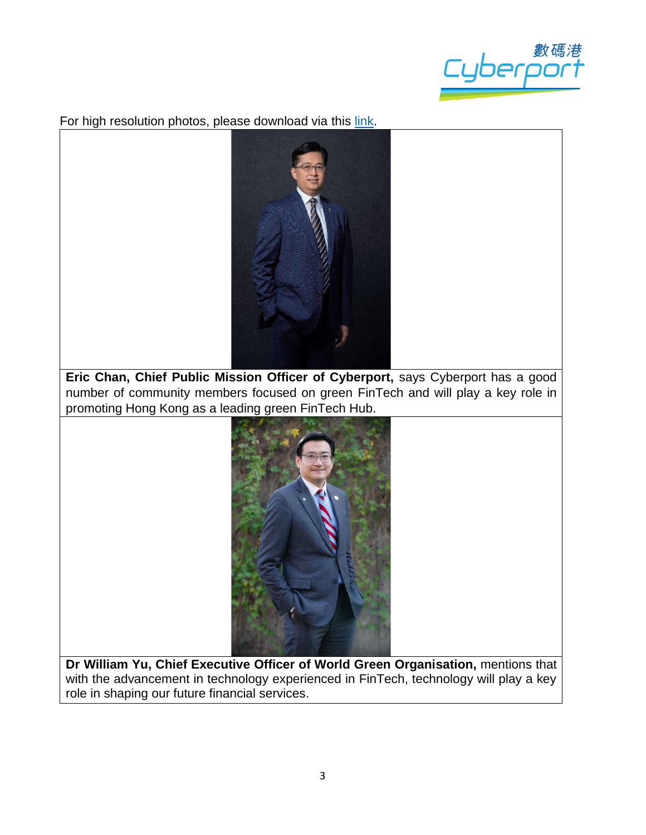

For high resolution photos, please download via this [link.](https://drive.google.com/drive/folders/1QqC_Cty3mLoleHytRZapNrH0bQVj6OQz?usp=sharing)



**Eric Chan, Chief Public Mission Officer of Cyberport,** says Cyberport has a good number of community members focused on green FinTech and will play a key role in promoting Hong Kong as a leading green FinTech Hub.



**Dr William Yu, Chief Executive Officer of World Green Organisation,** mentions that with the advancement in technology experienced in FinTech, technology will play a key role in shaping our future financial services.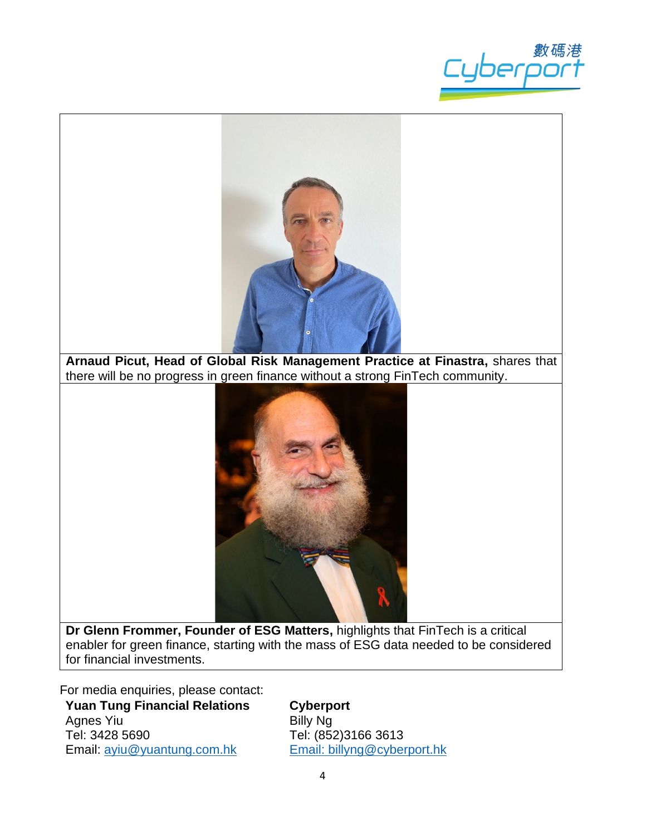



**Arnaud Picut, Head of Global Risk Management Practice at Finastra,** shares that there will be no progress in green finance without a strong FinTech community.



**Dr Glenn Frommer, Founder of ESG Matters,** highlights that FinTech is a critical enabler for green finance, starting with the mass of ESG data needed to be considered for financial investments.

For media enquiries, please contact:

**Yuan Tung Financial Relations** Agnes Yiu Tel: 3428 5690 Email: [ayiu@yuantung.com.hk](mailto:ayiu@yuantung.com.hk)

**Cyberport**

Billy Ng Tel: (852)3166 3613 Email: [billyng@cyberport.hk](mailto:billyng@cyberport.hk)